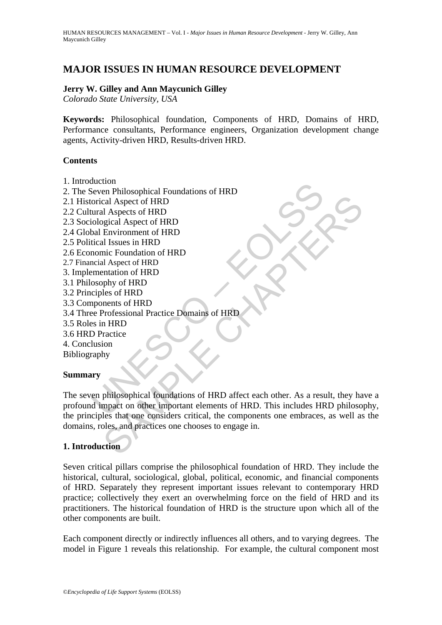# **MAJOR ISSUES IN HUMAN RESOURCE DEVELOPMENT**

#### **Jerry W. Gilley and Ann Maycunich Gilley**

*Colorado State University, USA* 

**Keywords:** Philosophical foundation, Components of HRD, Domains of HRD, Performance consultants, Performance engineers, Organization development change agents, Activity-driven HRD, Results-driven HRD.

#### **Contents**

- 1. Introduction
- 2. The Seven Philosophical Foundations of HRD
- 2.1 Historical Aspect of HRD
- 2.2 Cultural Aspects of HRD
- 2.3 Sociological Aspect of HRD
- 2.4 Global Environment of HRD
- 2.5 Political Issues in HRD
- 2.6 Economic Foundation of HRD
- 2.7 Financial Aspect of HRD
- 3. Implementation of HRD
- 3.1 Philosophy of HRD
- 3.2 Principles of HRD
- 3.3 Components of HRD
- 3.4 Three Professional Practice Domains of HRD
- 3.5 Roles in HRD
- 3.6 HRD Practice
- 4. Conclusion
- Bibliography

# **Summary**

Matthal<br>
Discountinum<br>
Discouss in HRD<br>
Discouss in HRD<br>
Discouss in HRD<br>
Itical Issues in HRD<br>
Incoming Exploration of HRD<br>
Itical Issues in HRD<br>
mentation of HRD<br>
mentation of HRD<br>
mentation of HRD<br>
Discoply of HRD<br>
Disc Contained the CHAPTER of HRD<br>
Environment of HRD<br>
Environment of HRD<br>
Environment of HRD<br>
Il Aspects of HRD<br>
Il Sayes in HRD<br>
Il Sayes in HRD<br>
Intaition of HRD<br>
Intaition of HRD<br>
Intaition of HRD<br>
Intaition of HRD<br>
Profess The seven philosophical foundations of HRD affect each other. As a result, they have a profound impact on other important elements of HRD. This includes HRD philosophy, the principles that one considers critical, the components one embraces, as well as the domains, roles, and practices one chooses to engage in.

# **1. Introduction**

Seven critical pillars comprise the philosophical foundation of HRD. They include the historical, cultural, sociological, global, political, economic, and financial components of HRD. Separately they represent important issues relevant to contemporary HRD practice; collectively they exert an overwhelming force on the field of HRD and its practitioners. The historical foundation of HRD is the structure upon which all of the other components are built.

Each component directly or indirectly influences all others, and to varying degrees. The model in Figure 1 reveals this relationship. For example, the cultural component most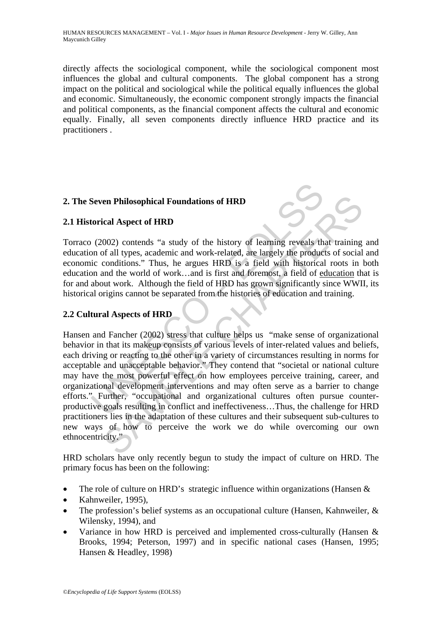directly affects the sociological component, while the sociological component most influences the global and cultural components. The global component has a strong impact on the political and sociological while the political equally influences the global and economic. Simultaneously, the economic component strongly impacts the financial and political components, as the financial component affects the cultural and economic equally. Finally, all seven components directly influence HRD practice and its practitioners .

# **2. The Seven Philosophical Foundations of HRD**

#### **2.1 Historical Aspect of HRD**

Torraco (2002) contends "a study of the history of learning reveals that training and education of all types, academic and work-related, are largely the products of social and economic conditions." Thus, he argues HRD is a field with historical roots in both education and the world of work…and is first and foremost, a field of education that is for and about work. Although the field of HRD has grown significantly since WWII, its historical origins cannot be separated from the histories of education and training.

# **2.2 Cultural Aspects of HRD**

Seven Philosophical Foundations of HRD<br>torical Aspect of HRD<br>torical Aspect of HRD<br>(2002) contends "a study of the history of learning reveals th<br>no of all types, academic and work-related, are largely the produc<br>ic condi **Example 12**<br> **Example 16**<br> **Example 2020**<br> **Example 2020**<br> **Example 2020**<br> **Example 30**<br> **EXAMPLE CONDIGITS:** Thus, he argues HRD is a field with historical roots in largely<br>
conditions. Thus, he argues HRD is a field wit Hansen and Fancher (2002) stress that culture helps us "make sense of organizational behavior in that its makeup consists of various levels of inter-related values and beliefs, each driving or reacting to the other in a variety of circumstances resulting in norms for acceptable and unacceptable behavior." They contend that "societal or national culture may have the most powerful effect on how employees perceive training, career, and organizational development interventions and may often serve as a barrier to change efforts." Further, "occupational and organizational cultures often pursue counterproductive goals resulting in conflict and ineffectiveness…Thus, the challenge for HRD practitioners lies in the adaptation of these cultures and their subsequent sub-cultures to new ways of how to perceive the work we do while overcoming our own ethnocentricity."

HRD scholars have only recently begun to study the impact of culture on HRD. The primary focus has been on the following:

- The role of culture on HRD's strategic influence within organizations (Hansen &
- Kahnweiler, 1995),
- The profession's belief systems as an occupational culture (Hansen, Kahnweiler, & Wilensky, 1994), and
- Variance in how HRD is perceived and implemented cross-culturally (Hansen & Brooks, 1994; Peterson, 1997) and in specific national cases (Hansen, 1995; Hansen & Headley, 1998)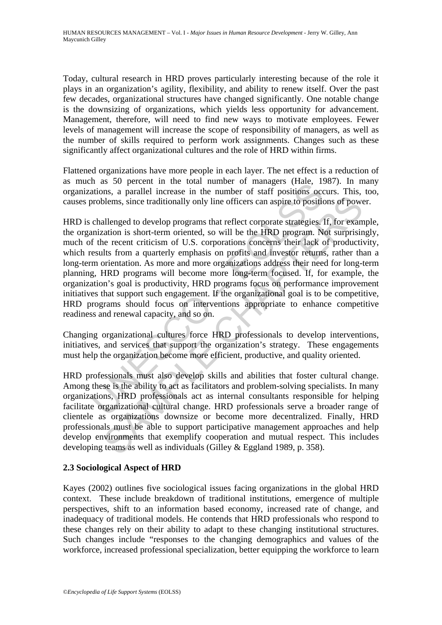Today, cultural research in HRD proves particularly interesting because of the role it plays in an organization's agility, flexibility, and ability to renew itself. Over the past few decades, organizational structures have changed significantly. One notable change is the downsizing of organizations, which yields less opportunity for advancement. Management, therefore, will need to find new ways to motivate employees. Fewer levels of management will increase the scope of responsibility of managers, as well as the number of skills required to perform work assignments. Changes such as these significantly affect organizational cultures and the role of HRD within firms.

Flattened organizations have more people in each layer. The net effect is a reduction of as much as 50 percent in the total number of managers (Hale, 1987). In many organizations, a parallel increase in the number of staff positions occurs. This, too, causes problems, since traditionally only line officers can aspire to positions of power.

If as 50 petcent in the total number of transageis (riac, 1:4<br>artanos, a parallel increase in the number of staff positions occorblems, since traditionally only line officers can aspire to positic<br>challenged to develop pro blems, since traditionally only line officers can aspire to positions of power<br>allenged to develop programs that reflect corporate strategies. If, for exam<br>ataion is short-term oriented, so will be the HRD program. Not sur HRD is challenged to develop programs that reflect corporate strategies. If, for example, the organization is short-term oriented, so will be the HRD program. Not surprisingly, much of the recent criticism of U.S. corporations concerns their lack of productivity, which results from a quarterly emphasis on profits and investor returns, rather than a long-term orientation. As more and more organizations address their need for long-term planning, HRD programs will become more long-term focused. If, for example, the organization's goal is productivity, HRD programs focus on performance improvement initiatives that support such engagement. If the organizational goal is to be competitive, HRD programs should focus on interventions appropriate to enhance competitive readiness and renewal capacity, and so on.

Changing organizational cultures force HRD professionals to develop interventions, initiatives, and services that support the organization's strategy. These engagements must help the organization become more efficient, productive, and quality oriented.

HRD professionals must also develop skills and abilities that foster cultural change. Among these is the ability to act as facilitators and problem-solving specialists. In many organizations, HRD professionals act as internal consultants responsible for helping facilitate organizational cultural change. HRD professionals serve a broader range of clientele as organizations downsize or become more decentralized. Finally, HRD professionals must be able to support participative management approaches and help develop environments that exemplify cooperation and mutual respect. This includes developing teams as well as individuals (Gilley & Eggland 1989, p. 358).

# **2.3 Sociological Aspect of HRD**

Kayes (2002) outlines five sociological issues facing organizations in the global HRD context. These include breakdown of traditional institutions, emergence of multiple perspectives, shift to an information based economy, increased rate of change, and inadequacy of traditional models. He contends that HRD professionals who respond to these changes rely on their ability to adapt to these changing institutional structures. Such changes include "responses to the changing demographics and values of the workforce, increased professional specialization, better equipping the workforce to learn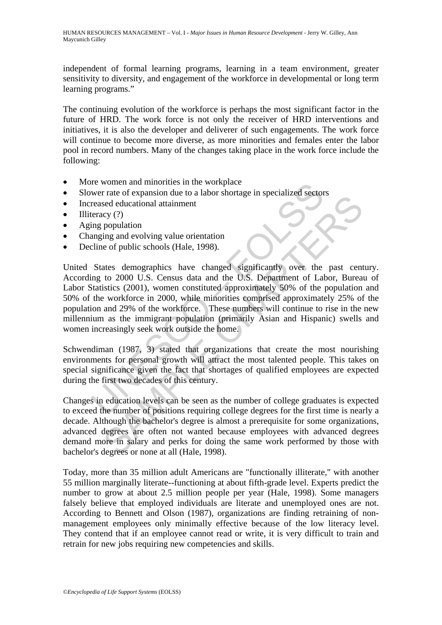independent of formal learning programs, learning in a team environment, greater sensitivity to diversity, and engagement of the workforce in developmental or long term learning programs."

The continuing evolution of the workforce is perhaps the most significant factor in the future of HRD. The work force is not only the receiver of HRD interventions and initiatives, it is also the developer and deliverer of such engagements. The work force will continue to become more diverse, as more minorities and females enter the labor pool in record numbers. Many of the changes taking place in the work force include the following:

- More women and minorities in the workplace
- Slower rate of expansion due to a labor shortage in specialized sectors
- Increased educational attainment
- Illiteracy  $(?)$
- Aging population
- Changing and evolving value orientation
- Decline of public schools (Hale, 1998).

The women and minorities in the workplace<br>we women and minorities in the workplace<br>reased educational attainment<br>reased educational attainment<br>teracy (?)<br>ing population<br>anging and evolving value orientation<br>significantly o France of public schemes to a moth similar energy in specializations<br>and evolution ing and evolving value orientation<br>corrections of public schools (Hale, 1998).<br>ates demographics have changed significantly over the past United States demographics have changed significantly over the past century. According to 2000 U.S. Census data and the U.S. Department of Labor, Bureau of Labor Statistics (2001), women constituted approximately 50% of the population and 50% of the workforce in 2000, while minorities comprised approximately 25% of the population and 29% of the workforce. These numbers will continue to rise in the new millennium as the immigrant population (primarily Asian and Hispanic) swells and women increasingly seek work outside the home.

Schwendiman (1987, 3) stated that organizations that create the most nourishing environments for personal growth will attract the most talented people. This takes on special significance given the fact that shortages of qualified employees are expected during the first two decades of this century.

Changes in education levels can be seen as the number of college graduates is expected to exceed the number of positions requiring college degrees for the first time is nearly a decade. Although the bachelor's degree is almost a prerequisite for some organizations, advanced degrees are often not wanted because employees with advanced degrees demand more in salary and perks for doing the same work performed by those with bachelor's degrees or none at all (Hale, 1998).

Today, more than 35 million adult Americans are "functionally illiterate," with another 55 million marginally literate--functioning at about fifth-grade level. Experts predict the number to grow at about 2.5 million people per year (Hale, 1998). Some managers falsely believe that employed individuals are literate and unemployed ones are not. According to Bennett and Olson (1987), organizations are finding retraining of nonmanagement employees only minimally effective because of the low literacy level. They contend that if an employee cannot read or write, it is very difficult to train and retrain for new jobs requiring new competencies and skills.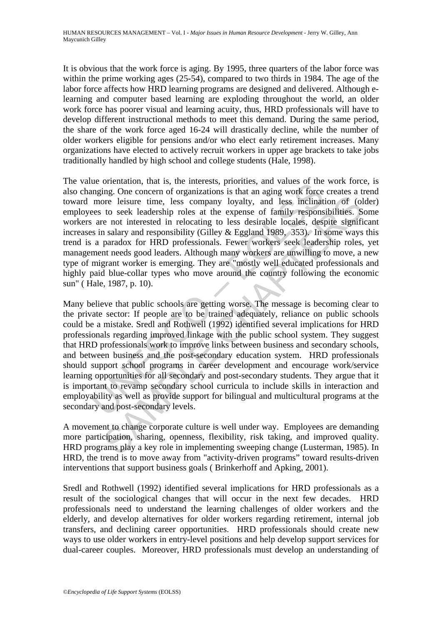It is obvious that the work force is aging. By 1995, three quarters of the labor force was within the prime working ages (25-54), compared to two thirds in 1984. The age of the labor force affects how HRD learning programs are designed and delivered. Although elearning and computer based learning are exploding throughout the world, an older work force has poorer visual and learning acuity, thus, HRD professionals will have to develop different instructional methods to meet this demand. During the same period, the share of the work force aged 16-24 will drastically decline, while the number of older workers eligible for pensions and/or who elect early retirement increases. Many organizations have elected to actively recruit workers in upper age brackets to take jobs traditionally handled by high school and college students (Hale, 1998).

The value orientation, that is, the interests, priorities, and values of the work force, is also changing. One concern of organizations is that an aging work force creates a trend toward more leisure time, less company loyalty, and less inclination of (older) employees to seek leadership roles at the expense of family responsibilities. Some workers are not interested in relocating to less desirable locales, despite significant increases in salary and responsibility (Gilley & Eggland 1989, 353). In some ways this trend is a paradox for HRD professionals. Fewer workers seek leadership roles, yet management needs good leaders. Although many workers are unwilling to move, a new type of migrant worker is emerging. They are "mostly well educated professionals and highly paid blue-collar types who move around the country following the economic sun" ( Hale, 1987, p. 10).

ure one<br>anaration, that is, the interests, profines, and variate of the<br>manging. One concern of organizations is that an aging work force<br>more leisure time, less company loyalty, and less inclinat<br>ees to seek leadership ro Free leisure time, less company loyalty, and less inclination of (ol<br>to seek leadership roles at the expense of family responsibilities. Se<br>not interested in relocating to less desirable locales, despite signific<br>natural r Many believe that public schools are getting worse. The message is becoming clear to the private sector: If people are to be trained adequately, reliance on public schools could be a mistake. Sredl and Rothwell (1992) identified several implications for HRD professionals regarding improved linkage with the public school system. They suggest that HRD professionals work to improve links between business and secondary schools, and between business and the post-secondary education system. HRD professionals should support school programs in career development and encourage work/service learning opportunities for all secondary and post-secondary students. They argue that it is important to revamp secondary school curricula to include skills in interaction and employability as well as provide support for bilingual and multicultural programs at the secondary and post-secondary levels.

A movement to change corporate culture is well under way. Employees are demanding more participation, sharing, openness, flexibility, risk taking, and improved quality. HRD programs play a key role in implementing sweeping change (Lusterman, 1985). In HRD, the trend is to move away from "activity-driven programs" toward results-driven interventions that support business goals ( Brinkerhoff and Apking, 2001).

Sredl and Rothwell (1992) identified several implications for HRD professionals as a result of the sociological changes that will occur in the next few decades. HRD professionals need to understand the learning challenges of older workers and the elderly, and develop alternatives for older workers regarding retirement, internal job transfers, and declining career opportunities. HRD professionals should create new ways to use older workers in entry-level positions and help develop support services for dual-career couples. Moreover, HRD professionals must develop an understanding of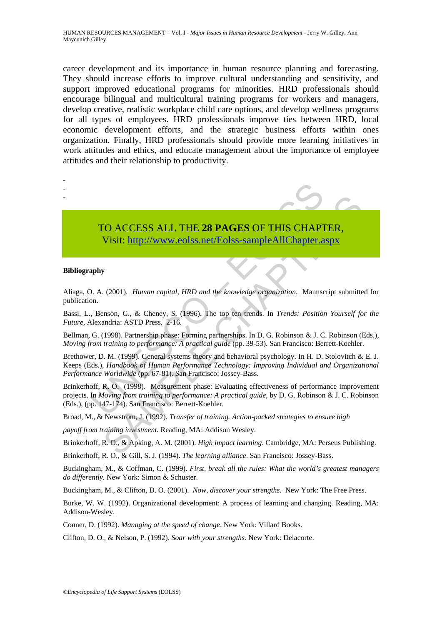career development and its importance in human resource planning and forecasting. They should increase efforts to improve cultural understanding and sensitivity, and support improved educational programs for minorities. HRD professionals should encourage bilingual and multicultural training programs for workers and managers, develop creative, realistic workplace child care options, and develop wellness programs for all types of employees. HRD professionals improve ties between HRD, local economic development efforts, and the strategic business efforts within ones organization. Finally, HRD professionals should provide more learning initiatives in work attitudes and ethics, and educate management about the importance of employee attitudes and their relationship to productivity.



- -
- TO ACCESS ALL THE **28 PAGES** OF THIS CHAPTER, Visit: http://www.eolss.net/Eolss-sampleAllChapter.aspx

#### **Bibliography**

Aliaga, O. A. (2001). *Human capital, HRD and the knowledge organization*. Manuscript submitted for publication.

Bassi, L., Benson, G., & Cheney, S. (1996). The top ten trends. In *Trends: Position Yourself for the Future,* Alexandria: ASTD Press, 2-16.

Bellman, G. (1998). Partnership phase: Forming partnerships. In D. G. Robinson & J. C. Robinson (Eds.), *Moving from training to performance: A practical guide* (pp. 39-53). San Francisco: Berrett-Koehler.

Brethower, D. M. (1999). General systems theory and behavioral psychology. In H. D. Stolovitch & E. J. Keeps (Eds.), *Handbook of Human Performance Technology: Improving Individual and Organizational Performance Worldwide* (pp. 67-81). San Francisco: Jossey-Bass.

TO ACCESS ALL THE 28 PAGES OF THIS CHAPT<br>Visit: http://www.eolss.net/Eolss-sampleAllChapter.a<br>phy<br>D. A. (2001). *Human capital, HRD and the knowledge organization*. Manuscon.<br>J. Benson, G., & Cheney, S. (1996). The top ten CO ACCESS ALL THE 28 PAGES OF THIS CHAP[TER](https://www.eolss.net/ebooklib/sc_cart.aspx?File=E1-10-01-00),<br>
Visit:  $\underline{\text{http://www.eolss.net/Eolss-sampleAllChapter.aspx}}$ <br>
Visit:  $\underline{\text{http://www.eolss.net/Eolss-sampleAllChapter.aspx}}$ <br>
(1996). *Paman capital, HRD and the knowledge organization*. Manuscript submitte<br>
mandria: ASTD Press, 2 Brinkerhoff, R. O. (1998). Measurement phase: Evaluating effectiveness of performance improvement projects. In *Moving from training to performance: A practical guide,* by D. G. Robinson & J. C. Robinson (Eds.), (pp. 147-174). San Francisco: Berrett-Koehler.

Broad, M., & Newstrom, J. (1992). *Transfer of training. Action-packed strategies to ensure high* 

*payoff from training investment.* Reading, MA: Addison Wesley.

Brinkerhoff, R. O., & Apking, A. M. (2001). *High impact learning*. Cambridge, MA: Perseus Publishing.

Brinkerhoff, R. O., & Gill, S. J. (1994). *The learning alliance*. San Francisco: Jossey-Bass.

Buckingham, M., & Coffman, C. (1999). *First, break all the rules: What the world's greatest managers do differently.* New York: Simon & Schuster.

Buckingham, M., & Clifton, D. O. (2001). *Now, discover your strengths*. New York: The Free Press.

Burke, W. W. (1992). Organizational development: A process of learning and changing. Reading, MA: Addison-Wesley.

Conner, D. (1992). *Managing at the speed of change*. New York: Villard Books.

Clifton, D. O., & Nelson, P. (1992). *Soar with your strengths*. New York: Delacorte.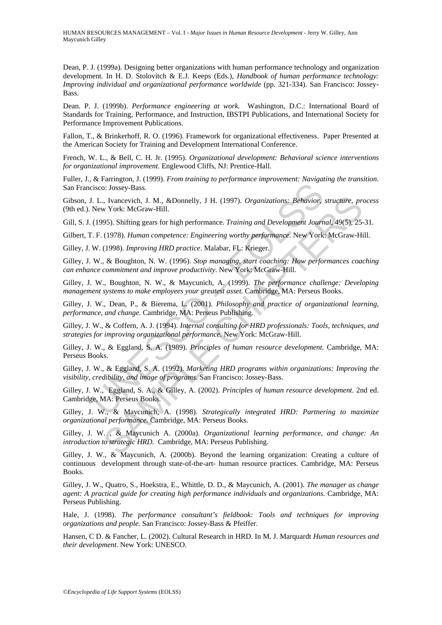Dean, P. J. (1999a). Designing better organizations with human performance technology and organization development. In H. D. Stolovitch & E.J. Keeps (Eds.), *Handbook of human performance technology: Improving individual and organizational performance worldwide* (pp. 321-334). San Francisco: Jossey-Bass.

Dean. P. J. (1999b). *Performance engineering at work.* Washington, D.C.: International Board of Standards for Training, Performance, and Instruction, IBSTPI Publications, and International Society for Performance Improvement Publications.

Fallon, T., & Brinkerhoff, R. O. (1996). Framework for organizational effectiveness. Paper Presented at the American Society for Training and Development International Conference.

French, W. L., & Bell, C. H. Jr. (1995). *Organizational development: Behavioral science interventions for organizational improvement.* Englewood Cliffs, NJ: Prentice-Hall.

Fuller, J., & Farrington, J. (1999). *From training to performance improvement: Navigating the transition*. San Francisco: Jossey-Bass.

Gibson, J. L., Ivancevich, J. M., &Donnelly, J H. (1997). *Organizations: Behavior, structure, process*  (9th ed.). New York: McGraw-Hill.

Gill, S. J. (1995). Shifting gears for high performance. *Training and Development Journal*, 49(5), 25-31.

Gilbert, T. F. (1978). *Human competence: Engineering worthy performance.* New York: McGraw-Hill.

Gilley, J. W. (1998). *Improving HRD practice*. Malabar, FL: Krieger.

Gilley, J. W., & Boughton, N. W. (1996). *Stop managing, start coaching: How performances coaching can enhance commitment and improve productivity*. New York: McGraw-Hill.

Gilley, J. W., Boughton, N. W., & Maycunich, A. (1999). *The performance challenge: Developing management systems to make employees your greatest asset.* Cambridge, MA: Perseus Books.

Gilley, J. W., Dean, P., & Bierema, L. (2001). *Philosophy and practice of organizational learning, performance, and change.* Cambridge, MA: Perseus Publishing.

Gilley, J. W., & Coffern, A. J. (1994). *Internal consulting for HRD professionals: Tools, techniques, and strategies for improving organizational performance.* New York: McGraw-Hill.

Eisco: Jossey-Bass.<br>
I. L., Ivancevich, J. M., &Donnelly, J H. (1997). *Organizations: Behavior*, New York: McGraw-Hill.<br>
(1995). Shifting gears for high performance. *Training and Development Journ*<br>
I. E. (1978). *Human* 1, Ivancevich, J. M., &Donnelly, J. H. (1997). *Organizations: Behavior, structure, pro* York: McGraw-Hill.<br>
95). Shifting gears for high performance. *Training and Development Journal*, 49(5), 25-<br>
(1978). *Human competen* Gilley, J. W., & Eggland, S. A. (1989). *Principles of human resource development*. Cambridge, MA: Perseus Books.

Gilley, J. W., & Eggland, S. A. (1992). *Marketing HRD programs within organizations: Improving the visibility, credibility, and image of programs.* San Francisco: Jossey-Bass.

Gilley, J. W., Eggland, S. A., & Gilley, A. (2002). *Principles of human resource development*. 2nd ed. Cambridge, MA: Perseus Books.

Gilley, J. W., & Maycunich, A. (1998). *Strategically integrated HRD: Partnering to maximize organizational performance.* Cambridge, MA: Perseus Books.

Gilley, J. W. , & Maycunich A. (2000a). *Organizational learning performance, and change: An introduction to strategic HRD.* Cambridge, MA: Perseus Publishing.

Gilley, J. W., & Maycunich, A. (2000b). Beyond the learning organization: Creating a culture of continuous development through state-of-the-art- human resource practices. Cambridge, MA: Perseus Books.

Gilley, J. W., Quatro, S., Hoekstra, E., Whittle, D. D., & Maycunich, A. (2001). *The manager as change agent: A practical guide for creating high performance individuals and organizations.* Cambridge, MA: Perseus Publishing.

Hale, J. (1998). *The performance consultant's fieldbook: Tools and techniques for improving organizations and people.* San Francisco: Jossey-Bass & Pfeiffer.

Hansen, C D. & Fancher, L. (2002). Cultural Research in HRD. In M. J. Marquardt *Human resources and their development*. New York: UNESCO.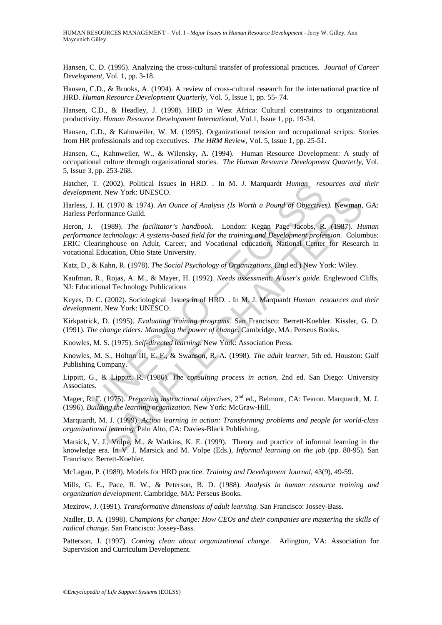Hansen, C. D. (1995). Analyzing the cross-cultural transfer of professional practices. *Journal of Career Development*, Vol. 1, pp. 3-18.

Hansen, C.D., & Brooks, A. (1994). A review of cross-cultural research for the international practice of HRD. *Human Resource Development Quarterly*, Vol. 5, Issue 1, pp. 55- 74.

Hansen, C.D., & Headley, J. (1998). HRD in West Africa: Cultural constraints to organizational productivity. *Human Resource Development International*, Vol.1, Issue 1, pp. 19-34.

Hansen, C.D., & Kahnweiler, W. M. (1995). Organizational tension and occupational scripts: Stories from HR professionals and top executives. *The HRM Review*, Vol. 5, Issue 1, pp. 25-51.

Hansen, C., Kahnweiler, W., & Wilensky, A. (1994). Human Resource Development: A study of occupational culture through organizational stories. *The Human Resource Development Quarterly*, Vol. 5, Issue 3, pp. 253-268.

Hatcher, T. (2002). Political Issues in HRD. . In M. J. Marquardt *Human resources and their development*. New York: UNESCO.

Harless, J. H. (1970 & 1974). *An Ounce of Analysis (Is Worth a Pound of Objectives).* Newman, GA: Harless Performance Guild.

T. (2002). Political Issues in HRD. . In M. J. Marquardt *Human* resent. New York: UNESCO.<br>
U. H. (1970 & 1974). An *Ounce of Analysis (Is Worth a Pound of Objective*<br>
refromance Guild.<br>
. (1989). *The facilitator's handb* 1.6.1976 *M* and Prusheson. However Analysis (Is Worth a Pound of Objectives). Newman,<br>
1. (1970 *&* 1974). *An Ounce of Analysis (Is Worth a Pound of Objectives)*. Newman,<br>
trachnology: *A systems-based field for the tra* Heron, J. (1989). *The facilitator's handbook*. London: Kegan Page Jacobs, R. (1987). *Human performance technology: A systems-based field for the training and Development profession*. Columbus: ERIC Clearinghouse on Adult, Career, and Vocational education, National Center for Research in vocational Education, Ohio State University.

Katz, D., & Kahn, R. (1978). *The Social Psychology of Organizations.* (2nd ed.) New York: Wiley.

Kaufman, R., Rojas, A. M., & Mayer, H. (1992)*. Needs assessment: A user's guide.* Englewood Cliffs, NJ: Educational Technology Publications

Keyes, D. C. (2002). Sociological Issues in of HRD. . In M. J. Marquardt *Human resources and their development*. New York: UNESCO.

Kirkpatrick, D. (1995). *Evaluating training programs.* San Francisco: Berrett-Koehler. Kissler, G. D. (1991). *The change riders: Managing the power of change*. Cambridge, MA: Perseus Books.

Knowles, M. S. (1975). *Self-directed learning*. New York: Association Press.

Knowles, M. S., Holton III, E. F., & Swanson, R. A. (1998). *The adult learner,* 5th ed. Houston: Gulf Publishing Company.

Lippitt, G., & Lippitt, R. (1986). *The consulting process in action,* 2nd ed. San Diego: University Associates.

Mager, R. F. (1975). *Preparing instructional objectives,* 2nd ed., Belmont, CA: Fearon. Marquardt, M. J. (1996). *Building the learning organization*. New York: McGraw-Hill.

Marquardt, M. J. (1999). *Action learning in action: Transforming problems and people for world-class organizational learning*. Palo Alto, CA: Davies-Black Publishing.

Marsick, V. J., Volpe, M., & Watkins, K. E. (1999). Theory and practice of informal learning in the knowledge era. In V. J. Marsick and M. Volpe (Eds.), *Informal learning on the job* (pp. 80-95). San Francisco: Berrett-Koehler.

McLagan, P. (1989). Models for HRD practice. *Training and Development Journal*, 43(9), 49-59.

Mills, G. E., Pace, R. W., & Peterson, B. D. (1988). *Analysis in human resource training and organization development*. Cambridge, MA: Perseus Books.

Mezirow, J. (1991). *Transformative dimensions of adult learning.* San Francisco: Jossey-Bass.

Nadler, D. A. (1998). *Champions for change: How CEOs and their companies are mastering the skills of radical change.* San Francisco: Jossey-Bass.

Patterson, J. (1997). *Coming clean about organizational change*. Arlington, VA: Association for Supervision and Curriculum Development.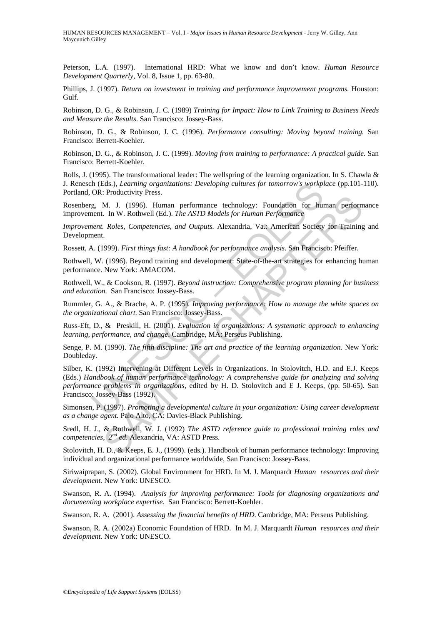Peterson, L.A. (1997). International HRD: What we know and don't know. *Human Resource Development Quarterly*, Vol. 8, Issue 1, pp. 63-80.

Phillips, J. (1997). *Return on investment in training and performance improvement programs.* Houston: Gulf.

Robinson, D. G., & Robinson, J. C. (1989) *Training for Impact: How to Link Training to Business Needs and Measure the Results*. San Francisco: Jossey-Bass.

Robinson, D. G., & Robinson, J. C. (1996). *Performance consulting: Moving beyond training.* San Francisco: Berrett-Koehler.

Robinson, D. G., & Robinson, J. C. (1999). *Moving from training to performance: A practical guide.* San Francisco: Berrett-Koehler.

Rolls, J. (1995). The transformational leader: The wellspring of the learning organization. In S. Chawla & J. Renesch (Eds.), *Learning organizations: Developing cultures for tomorrow's workplace* (pp.101-110). Portland, OR: Productivity Press.

Rosenberg, M. J. (1996). Human performance technology: Foundation for human performance improvement. In W. Rothwell (Ed.). *The ASTD Models for Human Performance* 

*Improvement. Roles, Competencies, and Outputs. Alexandria, Va.: American Society for Training and* Development.

Rossett, A. (1999). *First things fast: A handbook for performance analysis*. San Francisco: Pfeiffer.

Rothwell, W. (1996). Beyond training and development: State-of-the-art strategies for enhancing human performance. New York: AMACOM.

Rothwell, W., & Cookson, R. (1997). *Beyond instruction: Comprehensive program planning for business and education.* San Francisco: Jossey-Bass.

Rummler, G. A., & Brache, A. P. (1995). *Improving performance: How to manage the white spaces on the organizational chart*. San Francisco: Jossey-Bass.

Russ-Eft, D., & Preskill, H. (2001). *Evaluation in organizations: A systematic approach to enhancing learning, performance, and change*. Cambridge, MA: Perseus Publishing.

Senge, P. M. (1990). *The fifth discipline: The art and practice of the learning organization.* New York: Doubleday.

The Headler Matter of the Barristics (Seveloping cultures for tomorrow's workpl<br>
OR: Productivity Press.<br>
E., M. J. (1996). Human performance technology: Foundation for hung,<br>
E., M. J. (1996). Human performance technology **1.** 1. (1996). Human performance technology: Foundation for human perform<br>
1. I. (1996). Human performance technology: Foundation for human perform<br>
1. I. (1996). Human performance *Roles, Competencies, and Outputs.* Ale Silber, K. (1992) Intervening at Different Levels in Organizations. In Stolovitch, H.D. and E.J. Keeps (Eds.) *Handbook of human performance technology: A comprehensive guide for analyzing and solving performance problems in organizations*, edited by H. D. Stolovitch and E J. Keeps, (pp. 50-65). San Francisco: Jossey-Bass (1992).

Simonsen, P. (1997). *Promoting a developmental culture in your organization: Using career development as a change agent.* Palo Alto, CA: Davies-Black Publishing.

Sredl, H. J., & Rothwell, W. J. (1992) *The ASTD reference guide to professional training roles and competencies, 2nd ed.* Alexandria, VA: ASTD Press.

Stolovitch, H. D., & Keeps, E. J., (1999). (eds.). Handbook of human performance technology: Improving individual and organizational performance worldwide, San Francisco: Jossey-Bass.

Siriwaiprapan, S. (2002). Global Environment for HRD. In M. J. Marquardt *Human resources and their development*. New York: UNESCO.

Swanson, R. A. (1994). *Analysis for improving performance: Tools for diagnosing organizations and documenting workplace expertise*. San Francisco: Berrett-Koehler.

Swanson, R. A. (2001). *Assessing the financial benefits of HRD*. Cambridge, MA: Perseus Publishing.

Swanson, R. A. (2002a) Economic Foundation of HRD. In M. J. Marquardt *Human resources and their development*. New York: UNESCO.